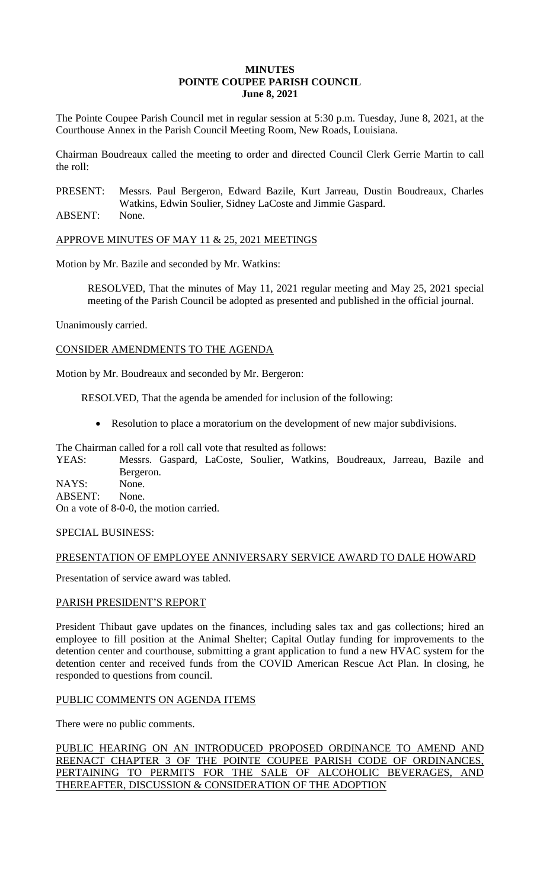# **MINUTES POINTE COUPEE PARISH COUNCIL June 8, 2021**

The Pointe Coupee Parish Council met in regular session at 5:30 p.m. Tuesday, June 8, 2021, at the Courthouse Annex in the Parish Council Meeting Room, New Roads, Louisiana.

Chairman Boudreaux called the meeting to order and directed Council Clerk Gerrie Martin to call the roll:

PRESENT: Messrs. Paul Bergeron, Edward Bazile, Kurt Jarreau, Dustin Boudreaux, Charles Watkins, Edwin Soulier, Sidney LaCoste and Jimmie Gaspard.

ABSENT: None.

APPROVE MINUTES OF MAY 11 & 25, 2021 MEETINGS

Motion by Mr. Bazile and seconded by Mr. Watkins:

RESOLVED, That the minutes of May 11, 2021 regular meeting and May 25, 2021 special meeting of the Parish Council be adopted as presented and published in the official journal.

Unanimously carried.

CONSIDER AMENDMENTS TO THE AGENDA

Motion by Mr. Boudreaux and seconded by Mr. Bergeron:

RESOLVED, That the agenda be amended for inclusion of the following:

Resolution to place a moratorium on the development of new major subdivisions.

The Chairman called for a roll call vote that resulted as follows:

YEAS: Messrs. Gaspard, LaCoste, Soulier, Watkins, Boudreaux, Jarreau, Bazile and Bergeron. NAYS: None.

ABSENT: None. On a vote of 8-0-0, the motion carried.

SPECIAL BUSINESS:

# PRESENTATION OF EMPLOYEE ANNIVERSARY SERVICE AWARD TO DALE HOWARD

Presentation of service award was tabled.

# PARISH PRESIDENT'S REPORT

President Thibaut gave updates on the finances, including sales tax and gas collections; hired an employee to fill position at the Animal Shelter; Capital Outlay funding for improvements to the detention center and courthouse, submitting a grant application to fund a new HVAC system for the detention center and received funds from the COVID American Rescue Act Plan. In closing, he responded to questions from council.

# PUBLIC COMMENTS ON AGENDA ITEMS

There were no public comments.

PUBLIC HEARING ON AN INTRODUCED PROPOSED ORDINANCE TO AMEND AND REENACT CHAPTER 3 OF THE POINTE COUPEE PARISH CODE OF ORDINANCES, PERTAINING TO PERMITS FOR THE SALE OF ALCOHOLIC BEVERAGES, AND THEREAFTER, DISCUSSION & CONSIDERATION OF THE ADOPTION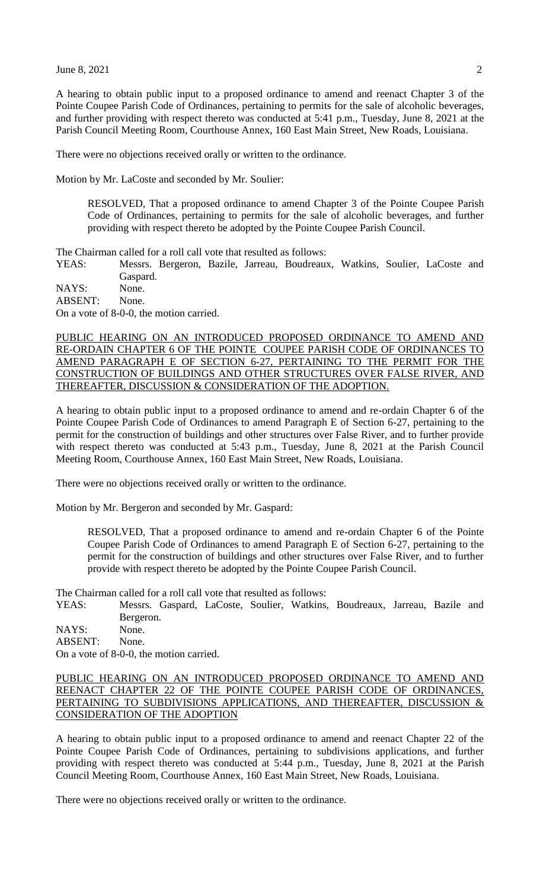A hearing to obtain public input to a proposed ordinance to amend and reenact Chapter 3 of the Pointe Coupee Parish Code of Ordinances, pertaining to permits for the sale of alcoholic beverages, and further providing with respect thereto was conducted at 5:41 p.m., Tuesday, June 8, 2021 at the Parish Council Meeting Room, Courthouse Annex, 160 East Main Street, New Roads, Louisiana.

There were no objections received orally or written to the ordinance.

Motion by Mr. LaCoste and seconded by Mr. Soulier:

RESOLVED, That a proposed ordinance to amend Chapter 3 of the Pointe Coupee Parish Code of Ordinances, pertaining to permits for the sale of alcoholic beverages, and further providing with respect thereto be adopted by the Pointe Coupee Parish Council.

The Chairman called for a roll call vote that resulted as follows:

YEAS: Messrs. Bergeron, Bazile, Jarreau, Boudreaux, Watkins, Soulier, LaCoste and Gaspard.

NAYS: None. ABSENT: None. On a vote of 8-0-0, the motion carried.

PUBLIC HEARING ON AN INTRODUCED PROPOSED ORDINANCE TO AMEND AND RE-ORDAIN CHAPTER 6 OF THE POINTE COUPEE PARISH CODE OF ORDINANCES TO AMEND PARAGRAPH E OF SECTION 6-27, PERTAINING TO THE PERMIT FOR THE CONSTRUCTION OF BUILDINGS AND OTHER STRUCTURES OVER FALSE RIVER, AND THEREAFTER, DISCUSSION & CONSIDERATION OF THE ADOPTION.

A hearing to obtain public input to a proposed ordinance to amend and re-ordain Chapter 6 of the Pointe Coupee Parish Code of Ordinances to amend Paragraph E of Section 6-27, pertaining to the permit for the construction of buildings and other structures over False River, and to further provide with respect thereto was conducted at 5:43 p.m., Tuesday, June 8, 2021 at the Parish Council Meeting Room, Courthouse Annex, 160 East Main Street, New Roads, Louisiana.

There were no objections received orally or written to the ordinance.

Motion by Mr. Bergeron and seconded by Mr. Gaspard:

RESOLVED, That a proposed ordinance to amend and re-ordain Chapter 6 of the Pointe Coupee Parish Code of Ordinances to amend Paragraph E of Section 6-27, pertaining to the permit for the construction of buildings and other structures over False River, and to further provide with respect thereto be adopted by the Pointe Coupee Parish Council.

The Chairman called for a roll call vote that resulted as follows:

YEAS: Messrs. Gaspard, LaCoste, Soulier, Watkins, Boudreaux, Jarreau, Bazile and Bergeron.

NAYS: None. ABSENT: None.

On a vote of 8-0-0, the motion carried.

# PUBLIC HEARING ON AN INTRODUCED PROPOSED ORDINANCE TO AMEND AND REENACT CHAPTER 22 OF THE POINTE COUPEE PARISH CODE OF ORDINANCES, PERTAINING TO SUBDIVISIONS APPLICATIONS, AND THEREAFTER, DISCUSSION & CONSIDERATION OF THE ADOPTION

A hearing to obtain public input to a proposed ordinance to amend and reenact Chapter 22 of the Pointe Coupee Parish Code of Ordinances, pertaining to subdivisions applications, and further providing with respect thereto was conducted at 5:44 p.m., Tuesday, June 8, 2021 at the Parish Council Meeting Room, Courthouse Annex, 160 East Main Street, New Roads, Louisiana.

There were no objections received orally or written to the ordinance.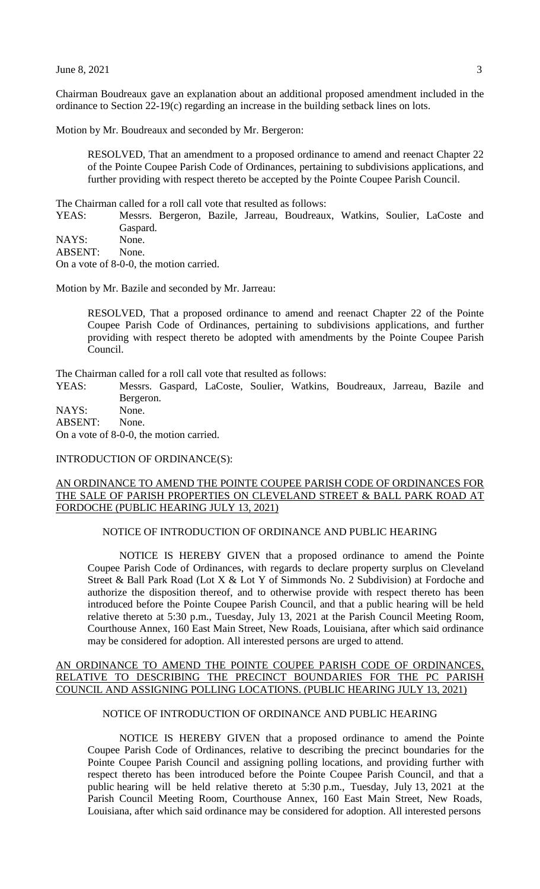Chairman Boudreaux gave an explanation about an additional proposed amendment included in the ordinance to Section 22-19(c) regarding an increase in the building setback lines on lots.

Motion by Mr. Boudreaux and seconded by Mr. Bergeron:

RESOLVED, That an amendment to a proposed ordinance to amend and reenact Chapter 22 of the Pointe Coupee Parish Code of Ordinances, pertaining to subdivisions applications, and further providing with respect thereto be accepted by the Pointe Coupee Parish Council.

The Chairman called for a roll call vote that resulted as follows:

YEAS: Messrs. Bergeron, Bazile, Jarreau, Boudreaux, Watkins, Soulier, LaCoste and Gaspard.

NAYS: None.

ABSENT: None.

On a vote of 8-0-0, the motion carried.

Motion by Mr. Bazile and seconded by Mr. Jarreau:

RESOLVED, That a proposed ordinance to amend and reenact Chapter 22 of the Pointe Coupee Parish Code of Ordinances, pertaining to subdivisions applications, and further providing with respect thereto be adopted with amendments by the Pointe Coupee Parish Council.

The Chairman called for a roll call vote that resulted as follows:

YEAS: Messrs. Gaspard, LaCoste, Soulier, Watkins, Boudreaux, Jarreau, Bazile and Bergeron.

NAYS: None.

ABSENT: None. On a vote of 8-0-0, the motion carried.

#### INTRODUCTION OF ORDINANCE(S):

# AN ORDINANCE TO AMEND THE POINTE COUPEE PARISH CODE OF ORDINANCES FOR THE SALE OF PARISH PROPERTIES ON CLEVELAND STREET & BALL PARK ROAD AT FORDOCHE (PUBLIC HEARING JULY 13, 2021)

## NOTICE OF INTRODUCTION OF ORDINANCE AND PUBLIC HEARING

NOTICE IS HEREBY GIVEN that a proposed ordinance to amend the Pointe Coupee Parish Code of Ordinances, with regards to declare property surplus on Cleveland Street & Ball Park Road (Lot X & Lot Y of Simmonds No. 2 Subdivision) at Fordoche and authorize the disposition thereof, and to otherwise provide with respect thereto has been introduced before the Pointe Coupee Parish Council, and that a public hearing will be held relative thereto at 5:30 p.m., Tuesday, July 13, 2021 at the Parish Council Meeting Room, Courthouse Annex, 160 East Main Street, New Roads, Louisiana, after which said ordinance may be considered for adoption. All interested persons are urged to attend.

### AN ORDINANCE TO AMEND THE POINTE COUPEE PARISH CODE OF ORDINANCES, RELATIVE TO DESCRIBING THE PRECINCT BOUNDARIES FOR THE PC PARISH COUNCIL AND ASSIGNING POLLING LOCATIONS. (PUBLIC HEARING JULY 13, 2021)

### NOTICE OF INTRODUCTION OF ORDINANCE AND PUBLIC HEARING

NOTICE IS HEREBY GIVEN that a proposed ordinance to amend the Pointe Coupee Parish Code of Ordinances, relative to describing the precinct boundaries for the Pointe Coupee Parish Council and assigning polling locations, and providing further with respect thereto has been introduced before the Pointe Coupee Parish Council, and that a public hearing will be held relative thereto at 5:30 p.m., Tuesday, July 13, 2021 at the Parish Council Meeting Room, Courthouse Annex, 160 East Main Street, New Roads, Louisiana, after which said ordinance may be considered for adoption. All interested persons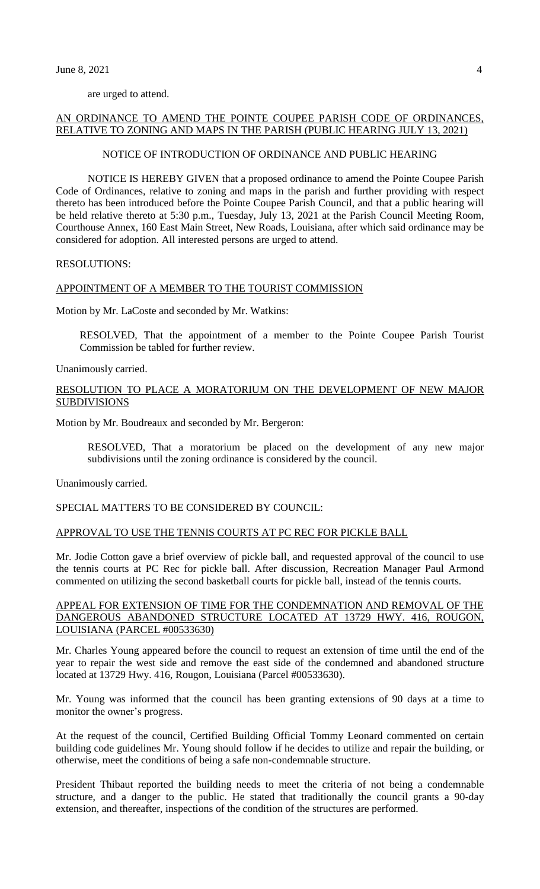are urged to attend.

## AN ORDINANCE TO AMEND THE POINTE COUPEE PARISH CODE OF ORDINANCES, RELATIVE TO ZONING AND MAPS IN THE PARISH (PUBLIC HEARING JULY 13, 2021)

### NOTICE OF INTRODUCTION OF ORDINANCE AND PUBLIC HEARING

NOTICE IS HEREBY GIVEN that a proposed ordinance to amend the Pointe Coupee Parish Code of Ordinances, relative to zoning and maps in the parish and further providing with respect thereto has been introduced before the Pointe Coupee Parish Council, and that a public hearing will be held relative thereto at 5:30 p.m., Tuesday, July 13, 2021 at the Parish Council Meeting Room, Courthouse Annex, 160 East Main Street, New Roads, Louisiana, after which said ordinance may be considered for adoption. All interested persons are urged to attend.

RESOLUTIONS:

#### APPOINTMENT OF A MEMBER TO THE TOURIST COMMISSION

Motion by Mr. LaCoste and seconded by Mr. Watkins:

RESOLVED, That the appointment of a member to the Pointe Coupee Parish Tourist Commission be tabled for further review.

Unanimously carried.

# RESOLUTION TO PLACE A MORATORIUM ON THE DEVELOPMENT OF NEW MAJOR **SUBDIVISIONS**

Motion by Mr. Boudreaux and seconded by Mr. Bergeron:

RESOLVED, That a moratorium be placed on the development of any new major subdivisions until the zoning ordinance is considered by the council.

Unanimously carried.

# SPECIAL MATTERS TO BE CONSIDERED BY COUNCIL:

### APPROVAL TO USE THE TENNIS COURTS AT PC REC FOR PICKLE BALL

Mr. Jodie Cotton gave a brief overview of pickle ball, and requested approval of the council to use the tennis courts at PC Rec for pickle ball. After discussion, Recreation Manager Paul Armond commented on utilizing the second basketball courts for pickle ball, instead of the tennis courts.

### APPEAL FOR EXTENSION OF TIME FOR THE CONDEMNATION AND REMOVAL OF THE DANGEROUS ABANDONED STRUCTURE LOCATED AT 13729 HWY. 416, ROUGON, LOUISIANA (PARCEL #00533630)

Mr. Charles Young appeared before the council to request an extension of time until the end of the year to repair the west side and remove the east side of the condemned and abandoned structure located at 13729 Hwy. 416, Rougon, Louisiana (Parcel #00533630).

Mr. Young was informed that the council has been granting extensions of 90 days at a time to monitor the owner's progress.

At the request of the council, Certified Building Official Tommy Leonard commented on certain building code guidelines Mr. Young should follow if he decides to utilize and repair the building, or otherwise, meet the conditions of being a safe non-condemnable structure.

President Thibaut reported the building needs to meet the criteria of not being a condemnable structure, and a danger to the public. He stated that traditionally the council grants a 90-day extension, and thereafter, inspections of the condition of the structures are performed.